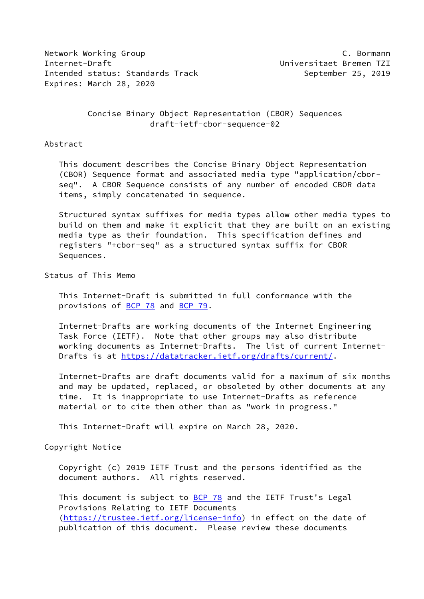Network Working Group **C. Bormann** Internet-Draft Universitaet Bremen TZI Intended status: Standards Track September 25, 2019 Expires: March 28, 2020

# Concise Binary Object Representation (CBOR) Sequences draft-ietf-cbor-sequence-02

#### Abstract

 This document describes the Concise Binary Object Representation (CBOR) Sequence format and associated media type "application/cbor seq". A CBOR Sequence consists of any number of encoded CBOR data items, simply concatenated in sequence.

 Structured syntax suffixes for media types allow other media types to build on them and make it explicit that they are built on an existing media type as their foundation. This specification defines and registers "+cbor-seq" as a structured syntax suffix for CBOR Sequences.

### Status of This Memo

 This Internet-Draft is submitted in full conformance with the provisions of [BCP 78](https://datatracker.ietf.org/doc/pdf/bcp78) and [BCP 79](https://datatracker.ietf.org/doc/pdf/bcp79).

 Internet-Drafts are working documents of the Internet Engineering Task Force (IETF). Note that other groups may also distribute working documents as Internet-Drafts. The list of current Internet- Drafts is at<https://datatracker.ietf.org/drafts/current/>.

 Internet-Drafts are draft documents valid for a maximum of six months and may be updated, replaced, or obsoleted by other documents at any time. It is inappropriate to use Internet-Drafts as reference material or to cite them other than as "work in progress."

This Internet-Draft will expire on March 28, 2020.

### Copyright Notice

 Copyright (c) 2019 IETF Trust and the persons identified as the document authors. All rights reserved.

This document is subject to **[BCP 78](https://datatracker.ietf.org/doc/pdf/bcp78)** and the IETF Trust's Legal Provisions Relating to IETF Documents [\(https://trustee.ietf.org/license-info](https://trustee.ietf.org/license-info)) in effect on the date of publication of this document. Please review these documents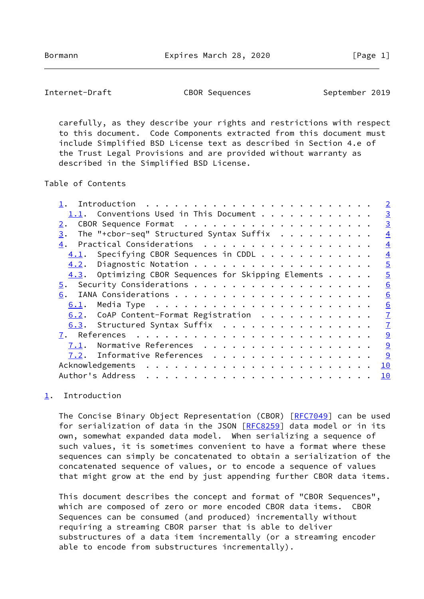<span id="page-1-1"></span>Internet-Draft CBOR Sequences September 2019

 carefully, as they describe your rights and restrictions with respect to this document. Code Components extracted from this document must include Simplified BSD License text as described in Section 4.e of the Trust Legal Provisions and are provided without warranty as described in the Simplified BSD License.

Table of Contents

|  |  | $\overline{2}$                                                                                                                                                                                                                                                                                                                                                       |
|--|--|----------------------------------------------------------------------------------------------------------------------------------------------------------------------------------------------------------------------------------------------------------------------------------------------------------------------------------------------------------------------|
|  |  | $\overline{3}$                                                                                                                                                                                                                                                                                                                                                       |
|  |  | $\overline{3}$                                                                                                                                                                                                                                                                                                                                                       |
|  |  | $\overline{4}$                                                                                                                                                                                                                                                                                                                                                       |
|  |  | $\overline{4}$                                                                                                                                                                                                                                                                                                                                                       |
|  |  | $\overline{4}$                                                                                                                                                                                                                                                                                                                                                       |
|  |  | $\overline{5}$                                                                                                                                                                                                                                                                                                                                                       |
|  |  | $\overline{5}$                                                                                                                                                                                                                                                                                                                                                       |
|  |  | 6                                                                                                                                                                                                                                                                                                                                                                    |
|  |  | 6                                                                                                                                                                                                                                                                                                                                                                    |
|  |  | 6                                                                                                                                                                                                                                                                                                                                                                    |
|  |  | $\overline{1}$                                                                                                                                                                                                                                                                                                                                                       |
|  |  | $\overline{1}$                                                                                                                                                                                                                                                                                                                                                       |
|  |  | 9                                                                                                                                                                                                                                                                                                                                                                    |
|  |  | 9                                                                                                                                                                                                                                                                                                                                                                    |
|  |  | 9                                                                                                                                                                                                                                                                                                                                                                    |
|  |  | 10                                                                                                                                                                                                                                                                                                                                                                   |
|  |  | 10                                                                                                                                                                                                                                                                                                                                                                   |
|  |  | 1.1. Conventions Used in This Document $\dots$<br>The "+cbor-seq" Structured Syntax Suffix<br>Practical Considerations<br>Specifying CBOR Sequences in CDDL<br>$4.3.$ Optimizing CBOR Sequences for Skipping Elements $\ldots$ .<br>$6.2$ . CoAP Content-Format Registration<br>6.3. Structured Syntax Suffix<br>Normative References<br>7.2. Informative References |

## <span id="page-1-0"></span>[1](#page-1-0). Introduction

The Concise Binary Object Representation (CBOR) [\[RFC7049](https://datatracker.ietf.org/doc/pdf/rfc7049)] can be used for serialization of data in the JSON [[RFC8259](https://datatracker.ietf.org/doc/pdf/rfc8259)] data model or in its own, somewhat expanded data model. When serializing a sequence of such values, it is sometimes convenient to have a format where these sequences can simply be concatenated to obtain a serialization of the concatenated sequence of values, or to encode a sequence of values that might grow at the end by just appending further CBOR data items.

 This document describes the concept and format of "CBOR Sequences", which are composed of zero or more encoded CBOR data items. CBOR Sequences can be consumed (and produced) incrementally without requiring a streaming CBOR parser that is able to deliver substructures of a data item incrementally (or a streaming encoder able to encode from substructures incrementally).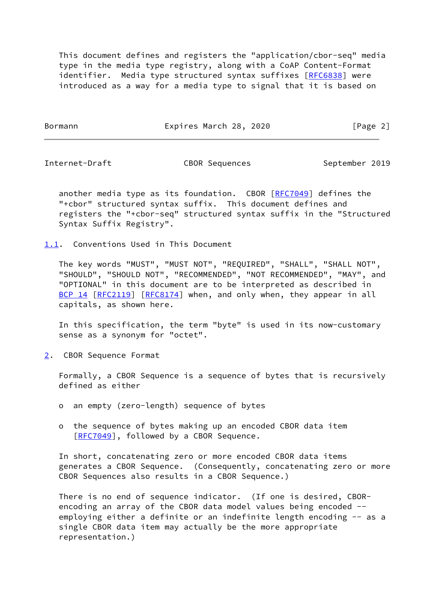This document defines and registers the "application/cbor-seq" media type in the media type registry, along with a CoAP Content-Format identifier. Media type structured syntax suffixes [[RFC6838\]](https://datatracker.ietf.org/doc/pdf/rfc6838) were introduced as a way for a media type to signal that it is based on

Bormann **Expires March 28, 2020** [Page 2]

<span id="page-2-1"></span>

Internet-Draft CBOR Sequences September 2019

another media type as its foundation. CBOR [\[RFC7049](https://datatracker.ietf.org/doc/pdf/rfc7049)] defines the "+cbor" structured syntax suffix. This document defines and registers the "+cbor-seq" structured syntax suffix in the "Structured Syntax Suffix Registry".

<span id="page-2-0"></span>[1.1](#page-2-0). Conventions Used in This Document

 The key words "MUST", "MUST NOT", "REQUIRED", "SHALL", "SHALL NOT", "SHOULD", "SHOULD NOT", "RECOMMENDED", "NOT RECOMMENDED", "MAY", and "OPTIONAL" in this document are to be interpreted as described in [BCP 14](https://datatracker.ietf.org/doc/pdf/bcp14) [\[RFC2119](https://datatracker.ietf.org/doc/pdf/rfc2119)] [\[RFC8174](https://datatracker.ietf.org/doc/pdf/rfc8174)] when, and only when, they appear in all capitals, as shown here.

 In this specification, the term "byte" is used in its now-customary sense as a synonym for "octet".

<span id="page-2-2"></span>[2](#page-2-2). CBOR Sequence Format

 Formally, a CBOR Sequence is a sequence of bytes that is recursively defined as either

- o an empty (zero-length) sequence of bytes
- o the sequence of bytes making up an encoded CBOR data item [[RFC7049\]](https://datatracker.ietf.org/doc/pdf/rfc7049), followed by a CBOR Sequence.

 In short, concatenating zero or more encoded CBOR data items generates a CBOR Sequence. (Consequently, concatenating zero or more CBOR Sequences also results in a CBOR Sequence.)

 There is no end of sequence indicator. (If one is desired, CBOR encoding an array of the CBOR data model values being encoded - employing either a definite or an indefinite length encoding -- as a single CBOR data item may actually be the more appropriate representation.)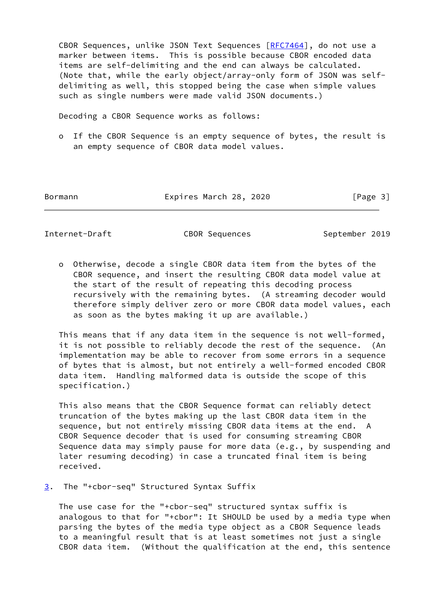CBOR Sequences, unlike JSON Text Sequences [[RFC7464\]](https://datatracker.ietf.org/doc/pdf/rfc7464), do not use a marker between items. This is possible because CBOR encoded data items are self-delimiting and the end can always be calculated. (Note that, while the early object/array-only form of JSON was self delimiting as well, this stopped being the case when simple values such as single numbers were made valid JSON documents.)

Decoding a CBOR Sequence works as follows:

 o If the CBOR Sequence is an empty sequence of bytes, the result is an empty sequence of CBOR data model values.

Bormann Expires March 28, 2020 [Page 3]

<span id="page-3-1"></span>Internet-Draft CBOR Sequences September 2019

 o Otherwise, decode a single CBOR data item from the bytes of the CBOR sequence, and insert the resulting CBOR data model value at the start of the result of repeating this decoding process recursively with the remaining bytes. (A streaming decoder would therefore simply deliver zero or more CBOR data model values, each as soon as the bytes making it up are available.)

 This means that if any data item in the sequence is not well-formed, it is not possible to reliably decode the rest of the sequence. (An implementation may be able to recover from some errors in a sequence of bytes that is almost, but not entirely a well-formed encoded CBOR data item. Handling malformed data is outside the scope of this specification.)

 This also means that the CBOR Sequence format can reliably detect truncation of the bytes making up the last CBOR data item in the sequence, but not entirely missing CBOR data items at the end. A CBOR Sequence decoder that is used for consuming streaming CBOR Sequence data may simply pause for more data (e.g., by suspending and later resuming decoding) in case a truncated final item is being received.

<span id="page-3-0"></span>[3](#page-3-0). The "+cbor-seq" Structured Syntax Suffix

 The use case for the "+cbor-seq" structured syntax suffix is analogous to that for "+cbor": It SHOULD be used by a media type when parsing the bytes of the media type object as a CBOR Sequence leads to a meaningful result that is at least sometimes not just a single CBOR data item. (Without the qualification at the end, this sentence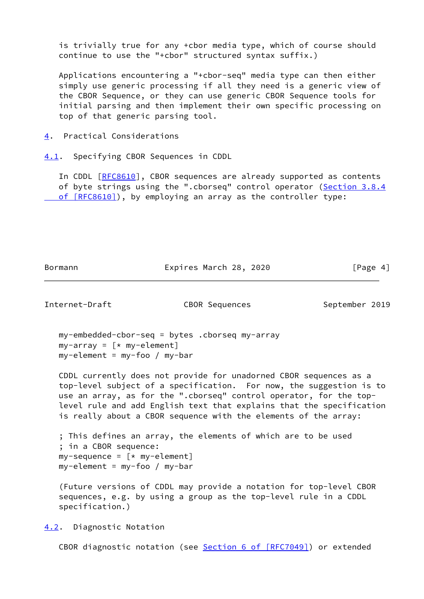is trivially true for any +cbor media type, which of course should continue to use the "+cbor" structured syntax suffix.)

 Applications encountering a "+cbor-seq" media type can then either simply use generic processing if all they need is a generic view of the CBOR Sequence, or they can use generic CBOR Sequence tools for initial parsing and then implement their own specific processing on top of that generic parsing tool.

<span id="page-4-0"></span>[4](#page-4-0). Practical Considerations

<span id="page-4-1"></span>[4.1](#page-4-1). Specifying CBOR Sequences in CDDL

In CDDL [\[RFC8610](https://datatracker.ietf.org/doc/pdf/rfc8610)], CBOR sequences are already supported as contents of byte strings using the ".cborseq" control operator ([Section](https://datatracker.ietf.org/doc/pdf/rfc8610#section-3.8.4) 3.8.4 of [RFC8610]), by employing an array as the controller type:

Bormann Expires March 28, 2020 [Page 4]

<span id="page-4-3"></span>Internet-Draft CBOR Sequences September 2019

 my-embedded-cbor-seq = bytes .cborseq my-array  $my-array = [ * my-element]$ my-element = my-foo / my-bar

 CDDL currently does not provide for unadorned CBOR sequences as a top-level subject of a specification. For now, the suggestion is to use an array, as for the ".cborseq" control operator, for the top level rule and add English text that explains that the specification is really about a CBOR sequence with the elements of the array:

```
 ; This defines an array, the elements of which are to be used
 ; in a CBOR sequence:
my-sequence = [ * my-element] my-element = my-foo / my-bar
```
 (Future versions of CDDL may provide a notation for top-level CBOR sequences, e.g. by using a group as the top-level rule in a CDDL specification.)

<span id="page-4-2"></span>[4.2](#page-4-2). Diagnostic Notation

CBOR diagnostic notation (see Section [6 of \[RFC7049\]](https://datatracker.ietf.org/doc/pdf/rfc7049#section-6)) or extended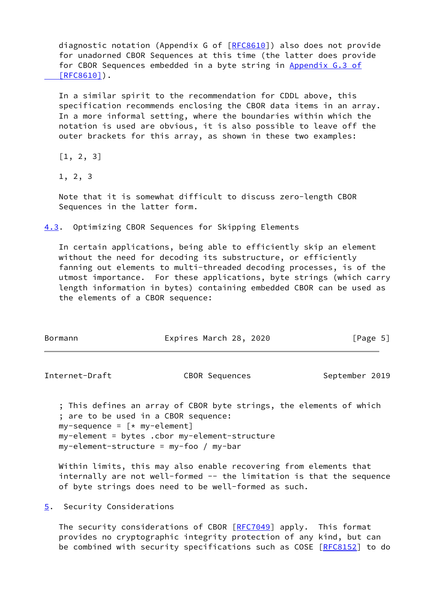diagnostic notation (Appendix G of [[RFC8610\]](https://datatracker.ietf.org/doc/pdf/rfc8610)) also does not provide for unadorned CBOR Sequences at this time (the latter does provide for CBOR Sequences embedded in a byte string in [Appendix](https://datatracker.ietf.org/doc/pdf/rfc8610#appendix-G.3) G.3 of  [\[RFC8610\]](https://datatracker.ietf.org/doc/pdf/rfc8610#appendix-G.3)).

 In a similar spirit to the recommendation for CDDL above, this specification recommends enclosing the CBOR data items in an array. In a more informal setting, where the boundaries within which the notation is used are obvious, it is also possible to leave off the outer brackets for this array, as shown in these two examples:

[1, 2, 3]

1, 2, 3

 Note that it is somewhat difficult to discuss zero-length CBOR Sequences in the latter form.

<span id="page-5-0"></span>[4.3](#page-5-0). Optimizing CBOR Sequences for Skipping Elements

 In certain applications, being able to efficiently skip an element without the need for decoding its substructure, or efficiently fanning out elements to multi-threaded decoding processes, is of the utmost importance. For these applications, byte strings (which carry length information in bytes) containing embedded CBOR can be used as the elements of a CBOR sequence:

| Bormann | Expires March 28, 2020 | [Page 5] |
|---------|------------------------|----------|
|         |                        |          |

<span id="page-5-2"></span>Internet-Draft CBOR Sequences September 2019

 ; This defines an array of CBOR byte strings, the elements of which ; are to be used in a CBOR sequence:  $my-sequence = [ * my-element]$  my-element = bytes .cbor my-element-structure my-element-structure = my-foo / my-bar

 Within limits, this may also enable recovering from elements that internally are not well-formed -- the limitation is that the sequence of byte strings does need to be well-formed as such.

<span id="page-5-1"></span>[5](#page-5-1). Security Considerations

The security considerations of CBOR [\[RFC7049](https://datatracker.ietf.org/doc/pdf/rfc7049)] apply. This format provides no cryptographic integrity protection of any kind, but can be combined with security specifications such as COSE [[RFC8152](https://datatracker.ietf.org/doc/pdf/rfc8152)] to do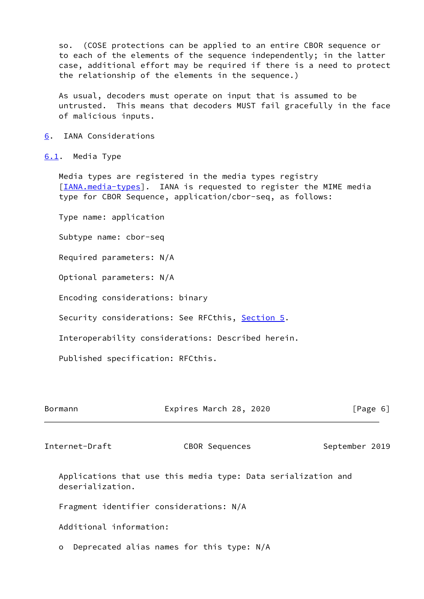so. (COSE protections can be applied to an entire CBOR sequence or to each of the elements of the sequence independently; in the latter case, additional effort may be required if there is a need to protect the relationship of the elements in the sequence.)

 As usual, decoders must operate on input that is assumed to be untrusted. This means that decoders MUST fail gracefully in the face of malicious inputs.

<span id="page-6-0"></span>[6](#page-6-0). IANA Considerations

#### <span id="page-6-1"></span>[6.1](#page-6-1). Media Type

 Media types are registered in the media types registry [\[IANA.media-types](#page-9-4)]. IANA is requested to register the MIME media type for CBOR Sequence, application/cbor-seq, as follows:

Type name: application

Subtype name: cbor-seq

Required parameters: N/A

Optional parameters: N/A

Encoding considerations: binary

Security considerations: See RFCthis, [Section 5.](#page-5-1)

Interoperability considerations: Described herein.

Published specification: RFCthis.

| Bormann | Expires March 28, 2020 | [Page 6] |
|---------|------------------------|----------|
|         |                        |          |

<span id="page-6-2"></span>Internet-Draft CBOR Sequences September 2019

 Applications that use this media type: Data serialization and deserialization.

Fragment identifier considerations: N/A

Additional information:

o Deprecated alias names for this type: N/A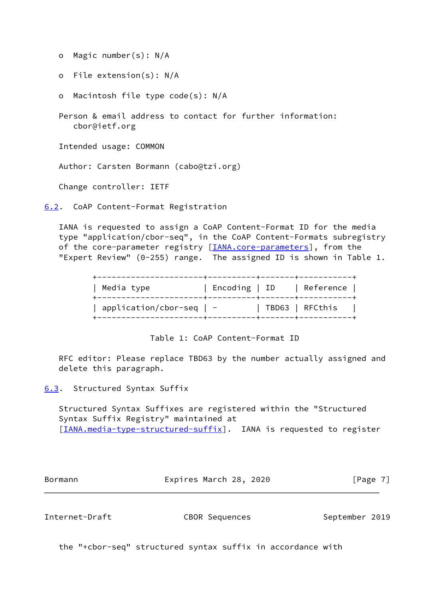o Magic number(s): N/A

o File extension(s): N/A

o Macintosh file type code(s): N/A

 Person & email address to contact for further information: cbor@ietf.org

Intended usage: COMMON

Author: Carsten Bormann (cabo@tzi.org)

Change controller: IETF

<span id="page-7-0"></span>[6.2](#page-7-0). CoAP Content-Format Registration

 IANA is requested to assign a CoAP Content-Format ID for the media type "application/cbor-seq", in the CoAP Content-Formats subregistry of the core-parameter registry [\[IANA.core-parameters](#page-9-5)], from the "Expert Review" (0-255) range. The assigned ID is shown in Table 1.

Table 1: CoAP Content-Format ID

 RFC editor: Please replace TBD63 by the number actually assigned and delete this paragraph.

<span id="page-7-1"></span>[6.3](#page-7-1). Structured Syntax Suffix

 Structured Syntax Suffixes are registered within the "Structured Syntax Suffix Registry" maintained at [\[IANA.media-type-structured-suffix](#page-9-6)]. IANA is requested to register

Bormann **Expires March 28, 2020** [Page 7]

Internet-Draft CBOR Sequences September 2019

the "+cbor-seq" structured syntax suffix in accordance with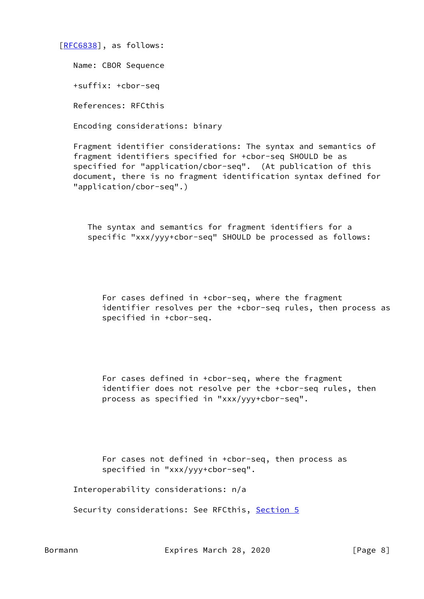[\[RFC6838](https://datatracker.ietf.org/doc/pdf/rfc6838)], as follows:

Name: CBOR Sequence

+suffix: +cbor-seq

References: RFCthis

Encoding considerations: binary

 Fragment identifier considerations: The syntax and semantics of fragment identifiers specified for +cbor-seq SHOULD be as specified for "application/cbor-seq". (At publication of this document, there is no fragment identification syntax defined for "application/cbor-seq".)

 The syntax and semantics for fragment identifiers for a specific "xxx/yyy+cbor-seq" SHOULD be processed as follows:

 For cases defined in +cbor-seq, where the fragment identifier resolves per the +cbor-seq rules, then process as specified in +cbor-seq.

 For cases defined in +cbor-seq, where the fragment identifier does not resolve per the +cbor-seq rules, then process as specified in "xxx/yyy+cbor-seq".

 For cases not defined in +cbor-seq, then process as specified in "xxx/yyy+cbor-seq".

Interoperability considerations: n/a

Security considerations: See RFCthis, [Section 5](#page-5-1)

Bormann Expires March 28, 2020 [Page 8]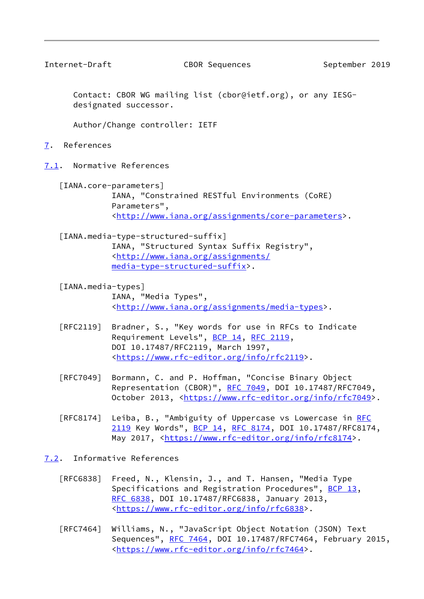<span id="page-9-1"></span>

Internet-Draft CBOR Sequences September 2019

 Contact: CBOR WG mailing list (cbor@ietf.org), or any IESG designated successor.

Author/Change controller: IETF

<span id="page-9-0"></span>[7](#page-9-0). References

<span id="page-9-2"></span>[7.1](#page-9-2). Normative References

<span id="page-9-5"></span> [IANA.core-parameters] IANA, "Constrained RESTful Environments (CoRE) Parameters", <[http://www.iana.org/assignments/core-parameters>](http://www.iana.org/assignments/core-parameters).

- <span id="page-9-6"></span> [IANA.media-type-structured-suffix] IANA, "Structured Syntax Suffix Registry", <[http://www.iana.org/assignments/](http://www.iana.org/assignments/media-type-structured-suffix) [media-type-structured-suffix>](http://www.iana.org/assignments/media-type-structured-suffix).
- <span id="page-9-4"></span> [IANA.media-types] IANA, "Media Types", <[http://www.iana.org/assignments/media-types>](http://www.iana.org/assignments/media-types).
- [RFC2119] Bradner, S., "Key words for use in RFCs to Indicate Requirement Levels", [BCP 14](https://datatracker.ietf.org/doc/pdf/bcp14), [RFC 2119](https://datatracker.ietf.org/doc/pdf/rfc2119), DOI 10.17487/RFC2119, March 1997, <[https://www.rfc-editor.org/info/rfc2119>](https://www.rfc-editor.org/info/rfc2119).
- [RFC7049] Bormann, C. and P. Hoffman, "Concise Binary Object Representation (CBOR)", [RFC 7049,](https://datatracker.ietf.org/doc/pdf/rfc7049) DOI 10.17487/RFC7049, October 2013, [<https://www.rfc-editor.org/info/rfc7049](https://www.rfc-editor.org/info/rfc7049)>.
- [RFC8174] Leiba, B., "Ambiguity of Uppercase vs Lowercase in [RFC](https://datatracker.ietf.org/doc/pdf/rfc2119) [2119](https://datatracker.ietf.org/doc/pdf/rfc2119) Key Words", [BCP 14](https://datatracker.ietf.org/doc/pdf/bcp14), [RFC 8174,](https://datatracker.ietf.org/doc/pdf/rfc8174) DOI 10.17487/RFC8174, May 2017, [<https://www.rfc-editor.org/info/rfc8174](https://www.rfc-editor.org/info/rfc8174)>.

<span id="page-9-3"></span>[7.2](#page-9-3). Informative References

- [RFC6838] Freed, N., Klensin, J., and T. Hansen, "Media Type Specifications and Registration Procedures", [BCP 13](https://datatracker.ietf.org/doc/pdf/bcp13), [RFC 6838,](https://datatracker.ietf.org/doc/pdf/rfc6838) DOI 10.17487/RFC6838, January 2013, <[https://www.rfc-editor.org/info/rfc6838>](https://www.rfc-editor.org/info/rfc6838).
- [RFC7464] Williams, N., "JavaScript Object Notation (JSON) Text Sequences", [RFC 7464,](https://datatracker.ietf.org/doc/pdf/rfc7464) DOI 10.17487/RFC7464, February 2015, <[https://www.rfc-editor.org/info/rfc7464>](https://www.rfc-editor.org/info/rfc7464).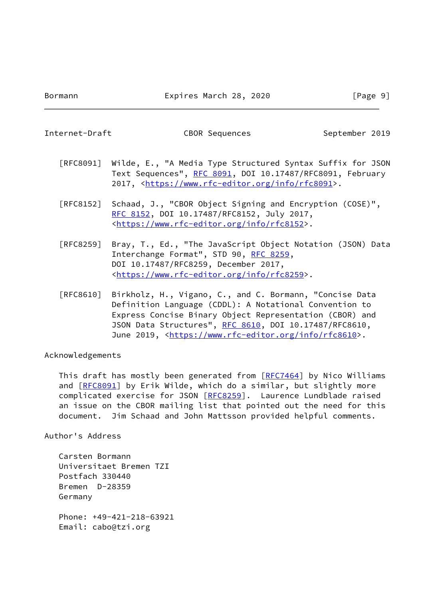<span id="page-10-0"></span>Internet-Draft CBOR Sequences September 2019

- [RFC8091] Wilde, E., "A Media Type Structured Syntax Suffix for JSON Text Sequences", [RFC 8091,](https://datatracker.ietf.org/doc/pdf/rfc8091) DOI 10.17487/RFC8091, February 2017, [<https://www.rfc-editor.org/info/rfc8091](https://www.rfc-editor.org/info/rfc8091)>.
- [RFC8152] Schaad, J., "CBOR Object Signing and Encryption (COSE)", [RFC 8152,](https://datatracker.ietf.org/doc/pdf/rfc8152) DOI 10.17487/RFC8152, July 2017, <[https://www.rfc-editor.org/info/rfc8152>](https://www.rfc-editor.org/info/rfc8152).
- [RFC8259] Bray, T., Ed., "The JavaScript Object Notation (JSON) Data Interchange Format", STD 90, [RFC 8259](https://datatracker.ietf.org/doc/pdf/rfc8259), DOI 10.17487/RFC8259, December 2017, <[https://www.rfc-editor.org/info/rfc8259>](https://www.rfc-editor.org/info/rfc8259).
- [RFC8610] Birkholz, H., Vigano, C., and C. Bormann, "Concise Data Definition Language (CDDL): A Notational Convention to Express Concise Binary Object Representation (CBOR) and JSON Data Structures", [RFC 8610](https://datatracker.ietf.org/doc/pdf/rfc8610), DOI 10.17487/RFC8610, June 2019, <<https://www.rfc-editor.org/info/rfc8610>>.

Acknowledgements

 This draft has mostly been generated from [[RFC7464](https://datatracker.ietf.org/doc/pdf/rfc7464)] by Nico Williams and [\[RFC8091](https://datatracker.ietf.org/doc/pdf/rfc8091)] by Erik Wilde, which do a similar, but slightly more complicated exercise for JSON [[RFC8259](https://datatracker.ietf.org/doc/pdf/rfc8259)]. Laurence Lundblade raised an issue on the CBOR mailing list that pointed out the need for this document. Jim Schaad and John Mattsson provided helpful comments.

Author's Address

 Carsten Bormann Universitaet Bremen TZI Postfach 330440 Bremen D-28359 Germany Phone: +49-421-218-63921 Email: cabo@tzi.org